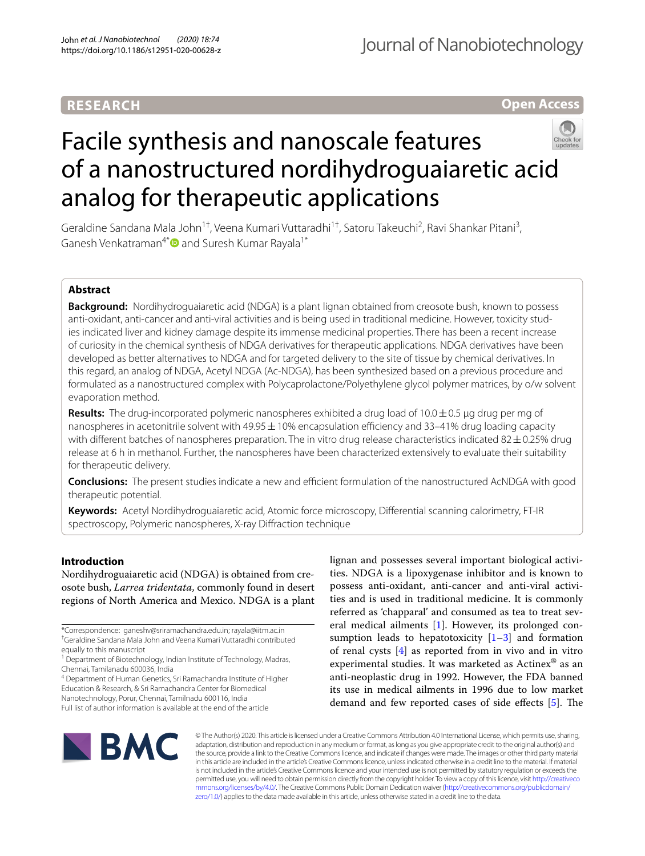# **RESEARCH**

Journal of Nanobiotechnology

**Open Access**

# Facile synthesis and nanoscale features of a nanostructured nordihydroguaiaretic acid analog for therapeutic applications

Geraldine Sandana Mala John<sup>1†</sup>, Veena Kumari Vuttaradhi<sup>1†</sup>, Satoru Takeuchi<sup>2</sup>, Ravi Shankar Pitani<sup>3</sup>, GaneshVenkatraman<sup>4\*</sup> and Suresh Kumar Rayala<sup>1\*</sup>

# **Abstract**

**Background:** Nordihydroguaiaretic acid (NDGA) is a plant lignan obtained from creosote bush, known to possess anti-oxidant, anti-cancer and anti-viral activities and is being used in traditional medicine. However, toxicity studies indicated liver and kidney damage despite its immense medicinal properties. There has been a recent increase of curiosity in the chemical synthesis of NDGA derivatives for therapeutic applications. NDGA derivatives have been developed as better alternatives to NDGA and for targeted delivery to the site of tissue by chemical derivatives. In this regard, an analog of NDGA, Acetyl NDGA (Ac-NDGA), has been synthesized based on a previous procedure and formulated as a nanostructured complex with Polycaprolactone/Polyethylene glycol polymer matrices, by o/w solvent evaporation method.

**Results:** The drug-incorporated polymeric nanospheres exhibited a drug load of 10.0 ± 0.5 µg drug per mg of nanospheres in acetonitrile solvent with 49.95  $\pm$  10% encapsulation efficiency and 33–41% drug loading capacity with different batches of nanospheres preparation. The in vitro drug release characteristics indicated  $82 \pm 0.25\%$  drug release at 6 h in methanol. Further, the nanospheres have been characterized extensively to evaluate their suitability for therapeutic delivery.

**Conclusions:** The present studies indicate a new and efficient formulation of the nanostructured AcNDGA with good therapeutic potential.

**Keywords:** Acetyl Nordihydroguaiaretic acid, Atomic force microscopy, Differential scanning calorimetry, FT-IR spectroscopy, Polymeric nanospheres, X-ray Diffraction technique

# **Introduction**

Nordihydroguaiaretic acid (NDGA) is obtained from creosote bush, Larrea tridentata, commonly found in desert regions of North America and Mexico. NDGA is a plant

\*Correspondence: ganeshv@sriramachandra.edu.in; rayala@iitm.ac.in †Geraldine Sandana Mala John and Veena Kumari Vuttaradhi contributed equally to this manuscript

4 Department of Human Genetics, Sri Ramachandra Institute of Higher Education & Research, & Sri Ramachandra Center for Biomedical

Nanotechnology, Porur, Chennai, Tamilnadu 600116, India Full list of author information is available at the end of the article lignan and possesses several important biological activities. NDGA is a lipoxygenase inhibitor and is known to possess anti-oxidant, anti-cancer and anti-viral activities and is used in traditional medicine. It is commonly referred as 'chapparal' and consumed as tea to treat several medical ailments [[1\]](#page-14-0). However, its prolonged consumption leads to hepatotoxicity  $[1-3]$  $[1-3]$  and formation of renal cysts [\[4](#page-14-2)] as reported from in vivo and in vitro experimental studies. It was marketed as Actinex® as an anti-neoplastic drug in 1992. However, the FDA banned its use in medical ailments in 1996 due to low market demand and few reported cases of side effects [\[5\]](#page-14-3). The



© The Author(s) 2020. This article is licensed under a Creative Commons Attribution 4.0 International License, which permits use, sharing, adaptation, distribution and reproduction in any medium or format, as long as you give appropriate credit to the original author(s) and the source, provide a link to the Creative Commons licence, and indicate if changes were made. The images or other third party material in this article are included in the article's Creative Commons licence, unless indicated otherwise in a credit line to the material. If material is not included in the article's Creative Commons licence and your intended use is not permitted by statutory regulation or exceeds the permitted use, you will need to obtain permission directly from the copyright holder. To view a copy of this licence, visit http://creativeco mmons.org/licenses/by/4.0/. The Creative Commons Public Domain Dedication waiver (http://creativecommons.org/publicdomain/ [zero/1.0/\)](http://creativecommons.org/publicdomain/zero/1.0/) applies to the data made available in this article, unless otherwise stated in a credit line to the data.

<sup>&</sup>lt;sup>1</sup> Department of Biotechnology, Indian Institute of Technology, Madras, Chennai, Tamilanadu 600036, India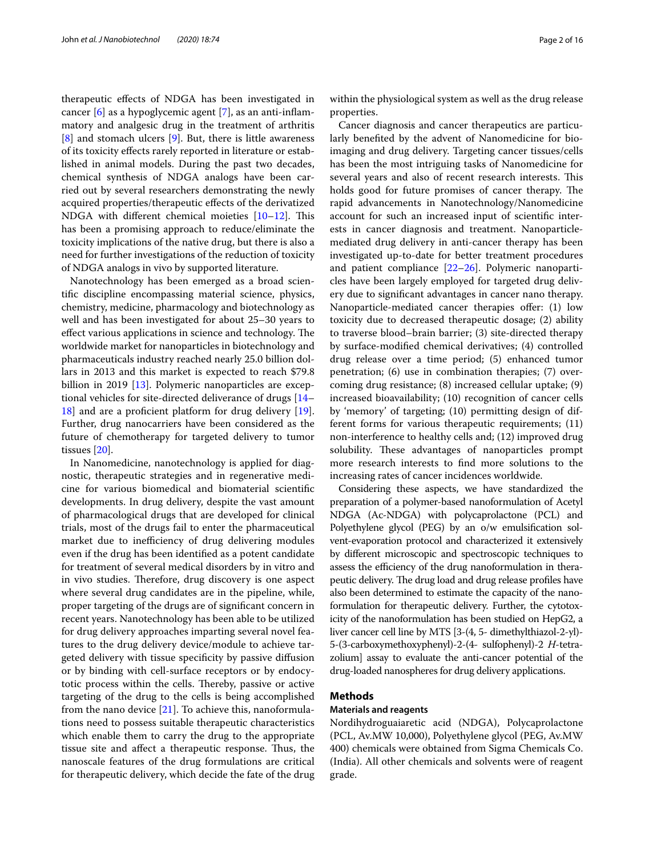therapeutic effects of NDGA has been investigated in cancer [\[6](#page-14-4)] as a hypoglycemic agent [\[7](#page-14-5)], as an anti-inflammatory and analgesic drug in the treatment of arthritis [[8\]](#page-14-6) and stomach ulcers [[9\]](#page-14-7). But, there is little awareness of its toxicity effects rarely reported in literature or established in animal models. During the past two decades, chemical synthesis of NDGA analogs have been carried out by several researchers demonstrating the newly acquired properties/therapeutic effects of the derivatized NDGA with different chemical moieties [\[10](#page-14-8)[–12\]](#page-14-9). This has been a promising approach to reduce/eliminate the toxicity implications of the native drug, but there is also a need for further investigations of the reduction of toxicity of NDGA analogs in vivo by supported literature.

Nanotechnology has been emerged as a broad scientific discipline encompassing material science, physics, chemistry, medicine, pharmacology and biotechnology as well and has been investigated for about 25–30 years to effect various applications in science and technology. The worldwide market for nanoparticles in biotechnology and pharmaceuticals industry reached nearly 25.0 billion dollars in 2013 and this market is expected to reach \$79.8 billion in 2019 [[13\]](#page-14-10). Polymeric nanoparticles are exceptional vehicles for site-directed deliverance of drugs [[14–](#page-14-11) [18\]](#page-14-12) and are a proficient platform for drug delivery [\[19](#page-14-13)]. Further, drug nanocarriers have been considered as the future of chemotherapy for targeted delivery to tumor tissues [\[20](#page-14-14)].

In Nanomedicine, nanotechnology is applied for diagnostic, therapeutic strategies and in regenerative medicine for various biomedical and biomaterial scientific developments. In drug delivery, despite the vast amount of pharmacological drugs that are developed for clinical trials, most of the drugs fail to enter the pharmaceutical market due to inefficiency of drug delivering modules even if the drug has been identified as a potent candidate for treatment of several medical disorders by in vitro and in vivo studies. Therefore, drug discovery is one aspect where several drug candidates are in the pipeline, while, proper targeting of the drugs are of significant concern in recent years. Nanotechnology has been able to be utilized for drug delivery approaches imparting several novel features to the drug delivery device/module to achieve targeted delivery with tissue specificity by passive diffusion or by binding with cell-surface receptors or by endocytotic process within the cells. Thereby, passive or active targeting of the drug to the cells is being accomplished from the nano device [[21\]](#page-14-15). To achieve this, nanoformulations need to possess suitable therapeutic characteristics which enable them to carry the drug to the appropriate tissue site and affect a therapeutic response. Thus, the nanoscale features of the drug formulations are critical for therapeutic delivery, which decide the fate of the drug within the physiological system as well as the drug release properties.

Cancer diagnosis and cancer therapeutics are particularly benefited by the advent of Nanomedicine for bioimaging and drug delivery. Targeting cancer tissues/cells has been the most intriguing tasks of Nanomedicine for several years and also of recent research interests. This holds good for future promises of cancer therapy. The rapid advancements in Nanotechnology/Nanomedicine account for such an increased input of scientific interests in cancer diagnosis and treatment. Nanoparticlemediated drug delivery in anti-cancer therapy has been investigated up-to-date for better treatment procedures and patient compliance [\[22–](#page-14-16)[26\]](#page-14-17). Polymeric nanoparticles have been largely employed for targeted drug delivery due to significant advantages in cancer nano therapy. Nanoparticle-mediated cancer therapies offer: (1) low toxicity due to decreased therapeutic dosage; (2) ability to traverse blood–brain barrier; (3) site-directed therapy by surface-modified chemical derivatives; (4) controlled drug release over a time period; (5) enhanced tumor penetration; (6) use in combination therapies; (7) overcoming drug resistance; (8) increased cellular uptake; (9) increased bioavailability; (10) recognition of cancer cells by 'memory' of targeting; (10) permitting design of different forms for various therapeutic requirements; (11) non-interference to healthy cells and; (12) improved drug solubility. These advantages of nanoparticles prompt more research interests to find more solutions to the increasing rates of cancer incidences worldwide.

Considering these aspects, we have standardized the preparation of a polymer-based nanoformulation of Acetyl NDGA (Ac-NDGA) with polycaprolactone (PCL) and Polyethylene glycol (PEG) by an o/w emulsification solvent-evaporation protocol and characterized it extensively by different microscopic and spectroscopic techniques to assess the efficiency of the drug nanoformulation in therapeutic delivery. The drug load and drug release profiles have also been determined to estimate the capacity of the nanoformulation for therapeutic delivery. Further, the cytotoxicity of the nanoformulation has been studied on HepG2, a liver cancer cell line by MTS [3-(4, 5- dimethylthiazol-2-yl)- 5-(3-carboxymethoxyphenyl)-2-(4- sulfophenyl)-2 H-tetrazolium] assay to evaluate the anti-cancer potential of the drug-loaded nanospheres for drug delivery applications.

#### **Methods**

#### **Materials and reagents**

Nordihydroguaiaretic acid (NDGA), Polycaprolactone (PCL, Av.MW 10,000), Polyethylene glycol (PEG, Av.MW 400) chemicals were obtained from Sigma Chemicals Co. (India). All other chemicals and solvents were of reagent grade.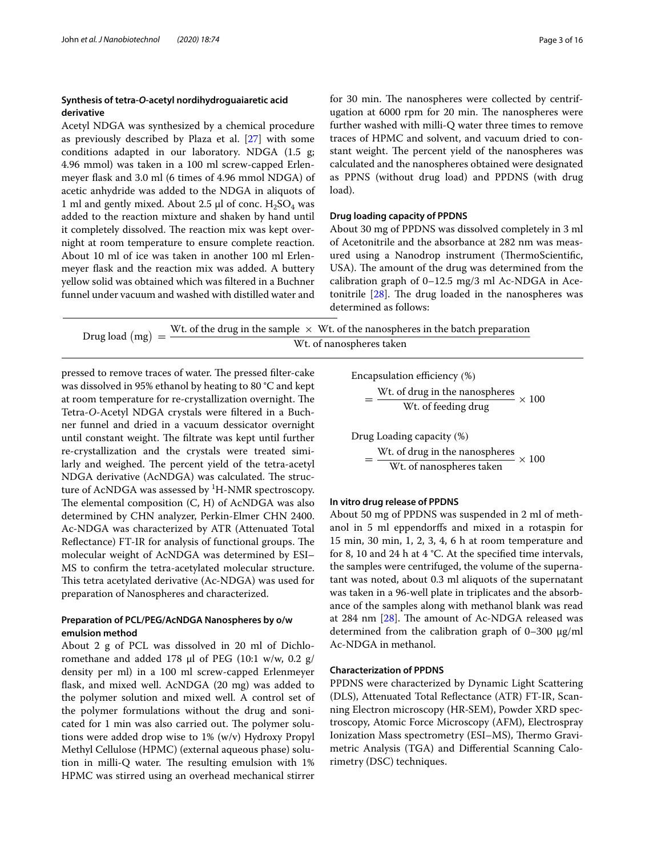#### **Synthesis of tetra‑O‑acetyl nordihydroguaiaretic acid derivative**

Acetyl NDGA was synthesized by a chemical procedure as previously described by Plaza et al. [[27\]](#page-14-18) with some conditions adapted in our laboratory. NDGA (1.5 g; 4.96 mmol) was taken in a 100 ml screw-capped Erlenmeyer flask and 3.0 ml (6 times of 4.96 mmol NDGA) of acetic anhydride was added to the NDGA in aliquots of 1 ml and gently mixed. About 2.5  $\mu$ l of conc.  $H_2SO_4$  was added to the reaction mixture and shaken by hand until it completely dissolved. The reaction mix was kept overnight at room temperature to ensure complete reaction. About 10 ml of ice was taken in another 100 ml Erlenmeyer flask and the reaction mix was added. A buttery yellow solid was obtained which was filtered in a Buchner funnel under vacuum and washed with distilled water and

#### **Drug loading capacity of PPDNS**

About 30 mg of PPDNS was dissolved completely in 3 ml of Acetonitrile and the absorbance at 282 nm was measured using a Nanodrop instrument (ThermoScientific, USA). The amount of the drug was determined from the calibration graph of 0–12.5 mg/3 ml Ac-NDGA in Acetonitrile [\[28\]](#page-14-19). The drug loaded in the nanospheres was determined as follows:

as PPNS (without drug load) and PPDNS (with drug

| Drug load $(mg) =$ | Wt. of the drug in the sample $\times$ Wt. of the nanospheres in the batch preparation |
|--------------------|----------------------------------------------------------------------------------------|
|                    | Wt. of nanospheres taken                                                               |

load).

pressed to remove traces of water. The pressed filter-cake was dissolved in 95% ethanol by heating to 80 °C and kept at room temperature for re-crystallization overnight. The Tetra-O-Acetyl NDGA crystals were filtered in a Buchner funnel and dried in a vacuum dessicator overnight until constant weight. The filtrate was kept until further re-crystallization and the crystals were treated similarly and weighed. The percent yield of the tetra-acetyl NDGA derivative (AcNDGA) was calculated. The structure of AcNDGA was assessed by  ${}^{1}$ H-NMR spectroscopy. The elemental composition (C, H) of AcNDGA was also determined by CHN analyzer, Perkin-Elmer CHN 2400. Ac-NDGA was characterized by ATR (Attenuated Total Reflectance) FT-IR for analysis of functional groups. The molecular weight of AcNDGA was determined by ESI– MS to confirm the tetra-acetylated molecular structure. This tetra acetylated derivative (Ac-NDGA) was used for preparation of Nanospheres and characterized.

# **Preparation of PCL/PEG/AcNDGA Nanospheres by o/w emulsion method**

About 2 g of PCL was dissolved in 20 ml of Dichloromethane and added 178  $\mu$ l of PEG (10:1 w/w, 0.2 g/ density per ml) in a 100 ml screw-capped Erlenmeyer flask, and mixed well. AcNDGA (20 mg) was added to the polymer solution and mixed well. A control set of the polymer formulations without the drug and sonicated for 1 min was also carried out. The polymer solutions were added drop wise to 1% (w/v) Hydroxy Propyl Methyl Cellulose (HPMC) (external aqueous phase) solution in milli-Q water. The resulting emulsion with 1% HPMC was stirred using an overhead mechanical stirrer

Encapsulation efficiency (%)

$$
= \frac{\text{Wt. of drug in the nanospheres}}{\text{Wt. of feeding drug}} \times 100
$$

Drug Loading capacity (%)

$$
= \frac{\text{Wt. of drug in the nanospheres}}{\text{Wt. of nanospheres taken}} \times 100
$$

#### **In vitro drug release of PPDNS**

About 50 mg of PPDNS was suspended in 2 ml of methanol in 5 ml eppendorffs and mixed in a rotaspin for 15 min, 30 min, 1, 2, 3, 4, 6 h at room temperature and for 8, 10 and 24 h at 4 °C. At the specified time intervals, the samples were centrifuged, the volume of the supernatant was noted, about 0.3 ml aliquots of the supernatant was taken in a 96-well plate in triplicates and the absorbance of the samples along with methanol blank was read at 284 nm [\[28](#page-14-19)]. The amount of Ac-NDGA released was determined from the calibration graph of  $0-300 \mu g/ml$ Ac-NDGA in methanol.

#### **Characterization of PPDNS**

PPDNS were characterized by Dynamic Light Scattering (DLS), Attenuated Total Reflectance (ATR) FT-IR, Scanning Electron microscopy (HR-SEM), Powder XRD spectroscopy, Atomic Force Microscopy (AFM), Electrospray Ionization Mass spectrometry (ESI–MS), Thermo Gravimetric Analysis (TGA) and Differential Scanning Calorimetry (DSC) techniques.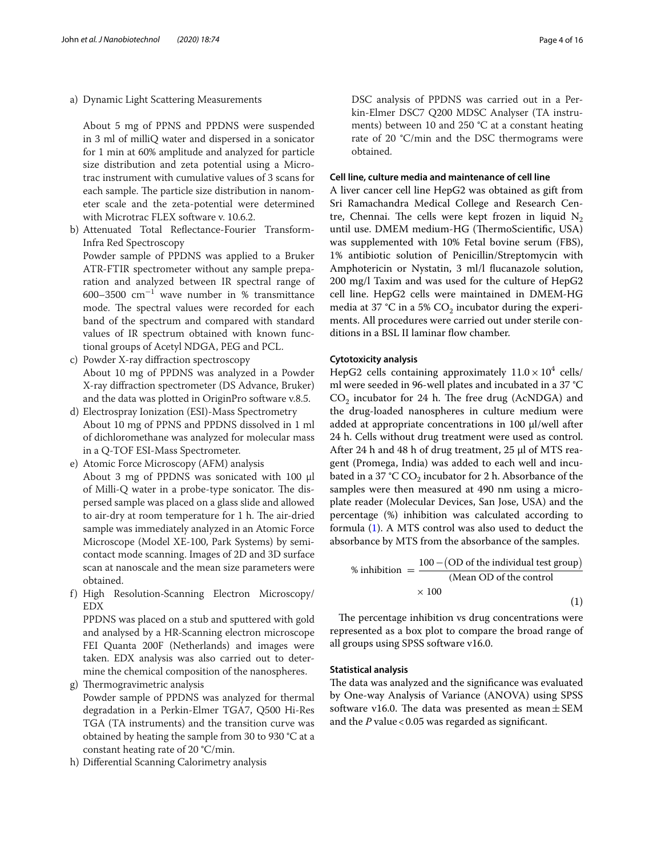a) Dynamic Light Scattering Measurements

 About 5 mg of PPNS and PPDNS were suspended in 3 ml of milliQ water and dispersed in a sonicator for 1 min at 60% amplitude and analyzed for particle size distribution and zeta potential using a Microtrac instrument with cumulative values of 3 scans for each sample. The particle size distribution in nanometer scale and the zeta-potential were determined with Microtrac FLEX software v. 10.6.2.

b) Attenuated Total Reflectance-Fourier Transform-Infra Red Spectroscopy

 Powder sample of PPDNS was applied to a Bruker ATR-FTIR spectrometer without any sample preparation and analyzed between IR spectral range of 600–3500  $\text{cm}^{-1}$  wave number in % transmittance mode. The spectral values were recorded for each band of the spectrum and compared with standard values of IR spectrum obtained with known functional groups of Acetyl NDGA, PEG and PCL.

- c) Powder X-ray diffraction spectroscopy About 10 mg of PPDNS was analyzed in a Powder X-ray diffraction spectrometer (DS Advance, Bruker) and the data was plotted in OriginPro software v.8.5.
- d) Electrospray Ionization (ESI)-Mass Spectrometry About 10 mg of PPNS and PPDNS dissolved in 1 ml of dichloromethane was analyzed for molecular mass in a Q-TOF ESI-Mass Spectrometer.
- e) Atomic Force Microscopy (AFM) analysis About 3 mg of PPDNS was sonicated with 100 µl of Milli-Q water in a probe-type sonicator. The dispersed sample was placed on a glass slide and allowed to air-dry at room temperature for 1 h. The air-dried sample was immediately analyzed in an Atomic Force Microscope (Model XE-100, Park Systems) by semicontact mode scanning. Images of 2D and 3D surface scan at nanoscale and the mean size parameters were obtained.
- f) High Resolution-Scanning Electron Microscopy/ EDX

 PPDNS was placed on a stub and sputtered with gold and analysed by a HR-Scanning electron microscope FEI Quanta 200F (Netherlands) and images were taken. EDX analysis was also carried out to determine the chemical composition of the nanospheres.

g) Thermogravimetric analysis

 Powder sample of PPDNS was analyzed for thermal degradation in a Perkin-Elmer TGA7, Q500 Hi-Res TGA (TA instruments) and the transition curve was obtained by heating the sample from 30 to 930 °C at a constant heating rate of 20 °C/min.

h) Differential Scanning Calorimetry analysis

 DSC analysis of PPDNS was carried out in a Perkin-Elmer DSC7 Q200 MDSC Analyser (TA instruments) between 10 and 250 °C at a constant heating rate of 20 °C/min and the DSC thermograms were obtained.

#### **Cell line, culture media and maintenance of cell line**

A liver cancer cell line HepG2 was obtained as gift from Sri Ramachandra Medical College and Research Centre, Chennai. The cells were kept frozen in liquid  $N_2$ until use. DMEM medium-HG (ThermoScientific, USA) was supplemented with 10% Fetal bovine serum (FBS), 1% antibiotic solution of Penicillin/Streptomycin with Amphotericin or Nystatin, 3 ml/l flucanazole solution, 200 mg/l Taxim and was used for the culture of HepG2 cell line. HepG2 cells were maintained in DMEM-HG media at 37 °C in a 5%  $CO_2$  incubator during the experiments. All procedures were carried out under sterile conditions in a BSL II laminar flow chamber.

#### **Cytotoxicity analysis**

HepG2 cells containing approximately  $11.0 \times 10^4$  cells/ ml were seeded in 96-well plates and incubated in a 37 °C  $CO<sub>2</sub>$  incubator for 24 h. The free drug (AcNDGA) and the drug-loaded nanospheres in culture medium were added at appropriate concentrations in 100 µl/well after 24 h. Cells without drug treatment were used as control. After 24 h and 48 h of drug treatment, 25 µl of MTS reagent (Promega, India) was added to each well and incubated in a 37 °C  $\text{CO}_2$  incubator for 2 h. Absorbance of the samples were then measured at 490 nm using a microplate reader (Molecular Devices, San Jose, USA) and the percentage (%) inhibition was calculated according to formula [\(1](#page-3-0)). A MTS control was also used to deduct the absorbance by MTS from the absorbance of the samples.

<span id="page-3-0"></span>% inhibition 
$$
=\frac{100 - (OD \text{ of the individual test group})}{(Mean OD \text{ of the control})}
$$
  
× 100 (1)

The percentage inhibition vs drug concentrations were represented as a box plot to compare the broad range of all groups using SPSS software v16.0.

#### **Statistical analysis**

The data was analyzed and the significance was evaluated by One-way Analysis of Variance (ANOVA) using SPSS software v16.0. The data was presented as mean  $\pm$  SEM and the  $P$  value < 0.05 was regarded as significant.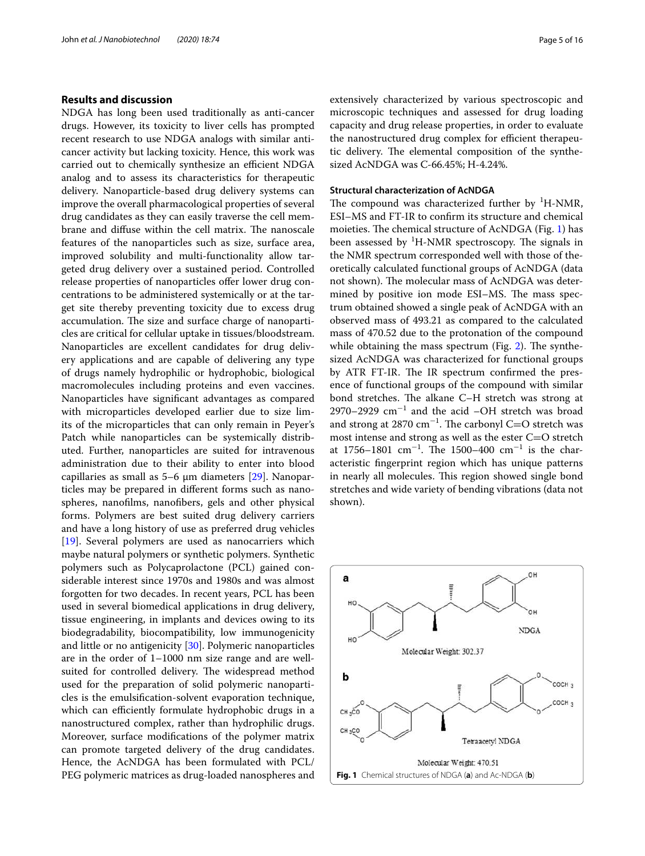#### **Results and discussion**

NDGA has long been used traditionally as anti-cancer drugs. However, its toxicity to liver cells has prompted recent research to use NDGA analogs with similar anticancer activity but lacking toxicity. Hence, this work was carried out to chemically synthesize an efficient NDGA analog and to assess its characteristics for therapeutic delivery. Nanoparticle-based drug delivery systems can improve the overall pharmacological properties of several drug candidates as they can easily traverse the cell membrane and diffuse within the cell matrix. The nanoscale features of the nanoparticles such as size, surface area, improved solubility and multi-functionality allow targeted drug delivery over a sustained period. Controlled release properties of nanoparticles offer lower drug concentrations to be administered systemically or at the target site thereby preventing toxicity due to excess drug accumulation. The size and surface charge of nanoparticles are critical for cellular uptake in tissues/bloodstream. Nanoparticles are excellent candidates for drug delivery applications and are capable of delivering any type of drugs namely hydrophilic or hydrophobic, biological macromolecules including proteins and even vaccines. Nanoparticles have significant advantages as compared with microparticles developed earlier due to size limits of the microparticles that can only remain in Peyer's Patch while nanoparticles can be systemically distributed. Further, nanoparticles are suited for intravenous administration due to their ability to enter into blood capillaries as small as 5–6 µm diameters [[29](#page-14-20)]. Nanoparticles may be prepared in different forms such as nanospheres, nanofilms, nanofibers, gels and other physical forms. Polymers are best suited drug delivery carriers and have a long history of use as preferred drug vehicles [[19\]](#page-14-13). Several polymers are used as nanocarriers which maybe natural polymers or synthetic polymers. Synthetic polymers such as Polycaprolactone (PCL) gained considerable interest since 1970s and 1980s and was almost forgotten for two decades. In recent years, PCL has been used in several biomedical applications in drug delivery, tissue engineering, in implants and devices owing to its biodegradability, biocompatibility, low immunogenicity and little or no antigenicity [[30\]](#page-14-21). Polymeric nanoparticles are in the order of 1–1000 nm size range and are wellsuited for controlled delivery. The widespread method used for the preparation of solid polymeric nanoparticles is the emulsification-solvent evaporation technique, which can efficiently formulate hydrophobic drugs in a nanostructured complex, rather than hydrophilic drugs. Moreover, surface modifications of the polymer matrix can promote targeted delivery of the drug candidates. Hence, the AcNDGA has been formulated with PCL/ PEG polymeric matrices as drug-loaded nanospheres and extensively characterized by various spectroscopic and microscopic techniques and assessed for drug loading capacity and drug release properties, in order to evaluate the nanostructured drug complex for efficient therapeutic delivery. The elemental composition of the synthesized AcNDGA was C-66.45%; H-4.24%.

#### **Structural characterization of AcNDGA**

The compound was characterized further by  ${}^{1}$ H-NMR, ESI–MS and FT-IR to confirm its structure and chemical moieties. The chemical structure of AcNDGA (Fig. [1](#page-4-0)) has been assessed by  ${}^{1}$ H-NMR spectroscopy. The signals in the NMR spectrum corresponded well with those of theoretically calculated functional groups of AcNDGA (data not shown). The molecular mass of AcNDGA was determined by positive ion mode ESI–MS. The mass spectrum obtained showed a single peak of AcNDGA with an observed mass of 493.21 as compared to the calculated mass of 470.52 due to the protonation of the compound while obtaining the mass spectrum (Fig. [2\)](#page-5-0). The synthesized AcNDGA was characterized for functional groups by ATR FT-IR. The IR spectrum confirmed the presence of functional groups of the compound with similar bond stretches. The alkane C–H stretch was strong at 2970–2929 cm<sup>−</sup><sup>1</sup> and the acid –OH stretch was broad and strong at 2870 cm<sup>−</sup><sup>1</sup> . The carbonyl C=O stretch was most intense and strong as well as the ester C=O stretch at 1756–1801  $cm^{-1}$ . The 1500–400  $cm^{-1}$  is the characteristic fingerprint region which has unique patterns in nearly all molecules. This region showed single bond stretches and wide variety of bending vibrations (data not shown).

<span id="page-4-0"></span>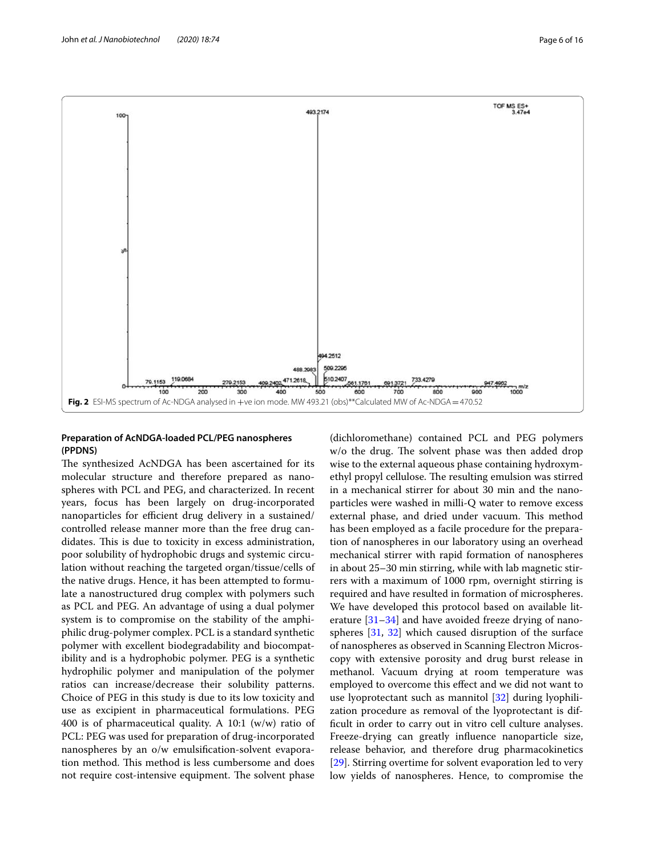

#### <span id="page-5-0"></span>**Preparation of AcNDGA‑loaded PCL/PEG nanospheres (PPDNS)**

The synthesized AcNDGA has been ascertained for its molecular structure and therefore prepared as nanospheres with PCL and PEG, and characterized. In recent years, focus has been largely on drug-incorporated nanoparticles for efficient drug delivery in a sustained/ controlled release manner more than the free drug candidates. This is due to toxicity in excess administration, poor solubility of hydrophobic drugs and systemic circulation without reaching the targeted organ/tissue/cells of the native drugs. Hence, it has been attempted to formulate a nanostructured drug complex with polymers such as PCL and PEG. An advantage of using a dual polymer system is to compromise on the stability of the amphiphilic drug-polymer complex. PCL is a standard synthetic polymer with excellent biodegradability and biocompatibility and is a hydrophobic polymer. PEG is a synthetic hydrophilic polymer and manipulation of the polymer ratios can increase/decrease their solubility patterns. Choice of PEG in this study is due to its low toxicity and use as excipient in pharmaceutical formulations. PEG 400 is of pharmaceutical quality. A 10:1 (w/w) ratio of PCL: PEG was used for preparation of drug-incorporated nanospheres by an o/w emulsification-solvent evaporation method. This method is less cumbersome and does not require cost-intensive equipment. The solvent phase (dichloromethane) contained PCL and PEG polymers w/o the drug. The solvent phase was then added drop wise to the external aqueous phase containing hydroxymethyl propyl cellulose. The resulting emulsion was stirred in a mechanical stirrer for about 30 min and the nanoparticles were washed in milli-Q water to remove excess external phase, and dried under vacuum. This method has been employed as a facile procedure for the preparation of nanospheres in our laboratory using an overhead mechanical stirrer with rapid formation of nanospheres in about 25–30 min stirring, while with lab magnetic stirrers with a maximum of 1000 rpm, overnight stirring is required and have resulted in formation of microspheres. We have developed this protocol based on available literature [\[31–](#page-14-22)[34\]](#page-15-0) and have avoided freeze drying of nanospheres [\[31](#page-14-22), [32\]](#page-14-23) which caused disruption of the surface of nanospheres as observed in Scanning Electron Microscopy with extensive porosity and drug burst release in methanol. Vacuum drying at room temperature was employed to overcome this effect and we did not want to use lyoprotectant such as mannitol [\[32](#page-14-23)] during lyophilization procedure as removal of the lyoprotectant is difficult in order to carry out in vitro cell culture analyses. Freeze-drying can greatly influence nanoparticle size, release behavior, and therefore drug pharmacokinetics [[29\]](#page-14-20). Stirring overtime for solvent evaporation led to very low yields of nanospheres. Hence, to compromise the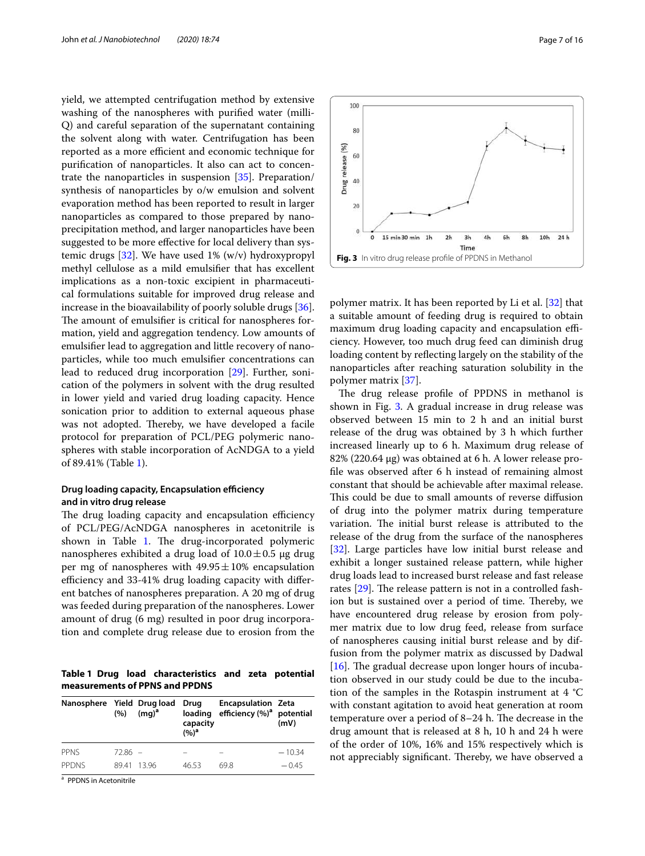yield, we attempted centrifugation method by extensive washing of the nanospheres with purified water (milli-Q) and careful separation of the supernatant containing the solvent along with water. Centrifugation has been reported as a more efficient and economic technique for purification of nanoparticles. It also can act to concentrate the nanoparticles in suspension [[35\]](#page-15-1). Preparation/ synthesis of nanoparticles by o/w emulsion and solvent evaporation method has been reported to result in larger nanoparticles as compared to those prepared by nanoprecipitation method, and larger nanoparticles have been suggested to be more effective for local delivery than systemic drugs  $[32]$ . We have used 1% (w/v) hydroxypropyl methyl cellulose as a mild emulsifier that has excellent implications as a non-toxic excipient in pharmaceutical formulations suitable for improved drug release and increase in the bioavailability of poorly soluble drugs [\[36](#page-15-2)]. The amount of emulsifier is critical for nanospheres formation, yield and aggregation tendency. Low amounts of emulsifier lead to aggregation and little recovery of nanoparticles, while too much emulsifier concentrations can lead to reduced drug incorporation [\[29\]](#page-14-20). Further, sonication of the polymers in solvent with the drug resulted in lower yield and varied drug loading capacity. Hence sonication prior to addition to external aqueous phase was not adopted. Thereby, we have developed a facile protocol for preparation of PCL/PEG polymeric nanospheres with stable incorporation of AcNDGA to a yield of 89.41% (Table [1\)](#page-6-0).

### **Drug loading capacity, Encapsulation efficiency and in vitro drug release**

The drug loading capacity and encapsulation efficiency of PCL/PEG/AcNDGA nanospheres in acetonitrile is shown in Table [1](#page-6-0). The drug-incorporated polymeric nanospheres exhibited a drug load of  $10.0 \pm 0.5$  µg drug per mg of nanospheres with  $49.95 \pm 10\%$  encapsulation efficiency and 33-41% drug loading capacity with different batches of nanospheres preparation. A 20 mg of drug was feeded during preparation of the nanospheres. Lower amount of drug (6 mg) resulted in poor drug incorporation and complete drug release due to erosion from the

<span id="page-6-0"></span>**Table 1 Drug load characteristics and zeta potential measurements of PPNS and PPDNS**

| Nanosphere Yield Drug load | (%)       | $(mq)^a$ | Drug<br>loading<br>capacity<br>(%) <sup>a</sup> | <b>Encapsulation Zeta</b><br>efficiency (%) <sup>a</sup> potential | (mV)     |
|----------------------------|-----------|----------|-------------------------------------------------|--------------------------------------------------------------------|----------|
| PPNS                       | $7286 -$  |          |                                                 |                                                                    | $-10.34$ |
| <b>PPDNS</b>               | 8941 1396 |          | 46.53                                           | 698                                                                | $-0.45$  |

<sup>a</sup> PPDNS in Acetonitrile

100  $80$ Drug release (%) 60 40  $\overline{20}$  $\theta$ 15 min 30 min  $1<sup>k</sup>$  $2h$ 6h 8h  $10<sub>h</sub>$  $24h$  $3h$  $4h$ Time **Fig. 3** In vitro drug release profile of PPDNS in Methanol

<span id="page-6-1"></span>polymer matrix. It has been reported by Li et al. [[32\]](#page-14-23) that a suitable amount of feeding drug is required to obtain maximum drug loading capacity and encapsulation efficiency. However, too much drug feed can diminish drug loading content by reflecting largely on the stability of the nanoparticles after reaching saturation solubility in the polymer matrix [[37\]](#page-15-3).

The drug release profile of PPDNS in methanol is shown in Fig. [3.](#page-6-1) A gradual increase in drug release was observed between 15 min to 2 h and an initial burst release of the drug was obtained by 3 h which further increased linearly up to 6 h. Maximum drug release of 82% (220.64 µg) was obtained at 6 h. A lower release profile was observed after 6 h instead of remaining almost constant that should be achievable after maximal release. This could be due to small amounts of reverse diffusion of drug into the polymer matrix during temperature variation. The initial burst release is attributed to the release of the drug from the surface of the nanospheres [[32\]](#page-14-23). Large particles have low initial burst release and exhibit a longer sustained release pattern, while higher drug loads lead to increased burst release and fast release rates [\[29](#page-14-20)]. The release pattern is not in a controlled fashion but is sustained over a period of time. Thereby, we have encountered drug release by erosion from polymer matrix due to low drug feed, release from surface of nanospheres causing initial burst release and by diffusion from the polymer matrix as discussed by Dadwal [[16\]](#page-14-24). The gradual decrease upon longer hours of incubation observed in our study could be due to the incubation of the samples in the Rotaspin instrument at 4 °C with constant agitation to avoid heat generation at room temperature over a period of 8–24 h. The decrease in the drug amount that is released at 8 h, 10 h and 24 h were of the order of 10%, 16% and 15% respectively which is not appreciably significant. Thereby, we have observed a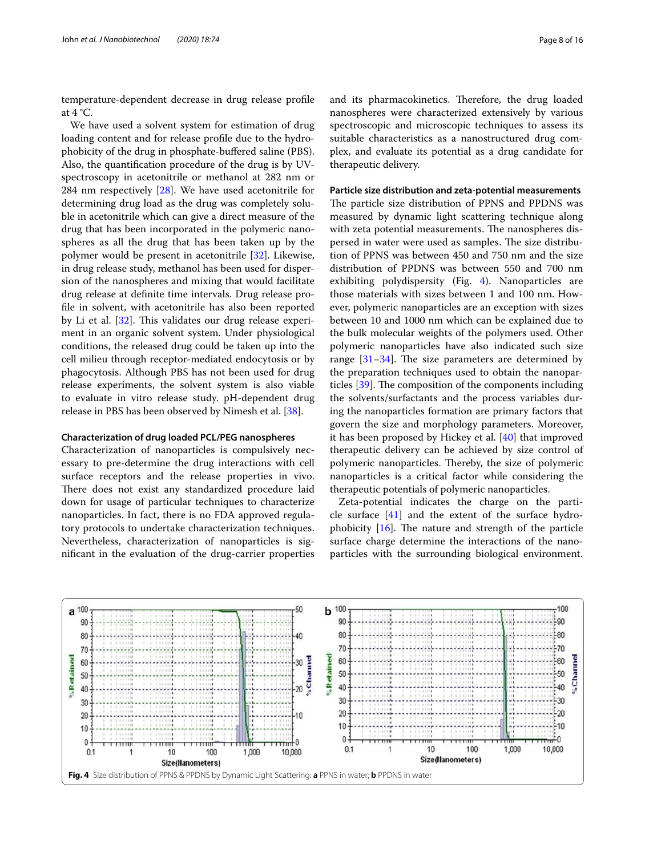temperature-dependent decrease in drug release profile at  $4^{\circ}$ C.

We have used a solvent system for estimation of drug loading content and for release profile due to the hydrophobicity of the drug in phosphate-buffered saline (PBS). Also, the quantification procedure of the drug is by UVspectroscopy in acetonitrile or methanol at 282 nm or 284 nm respectively [\[28](#page-14-19)]. We have used acetonitrile for determining drug load as the drug was completely soluble in acetonitrile which can give a direct measure of the drug that has been incorporated in the polymeric nanospheres as all the drug that has been taken up by the polymer would be present in acetonitrile [\[32\]](#page-14-23). Likewise, in drug release study, methanol has been used for dispersion of the nanospheres and mixing that would facilitate drug release at definite time intervals. Drug release profile in solvent, with acetonitrile has also been reported by Li et al. [[32](#page-14-23)]. This validates our drug release experiment in an organic solvent system. Under physiological conditions, the released drug could be taken up into the cell milieu through receptor-mediated endocytosis or by phagocytosis. Although PBS has not been used for drug release experiments, the solvent system is also viable to evaluate in vitro release study. pH-dependent drug release in PBS has been observed by Nimesh et al. [\[38\]](#page-15-4).

# **Characterization of drug loaded PCL/PEG nanospheres**

Characterization of nanoparticles is compulsively necessary to pre-determine the drug interactions with cell surface receptors and the release properties in vivo. There does not exist any standardized procedure laid down for usage of particular techniques to characterize nanoparticles. In fact, there is no FDA approved regulatory protocols to undertake characterization techniques. Nevertheless, characterization of nanoparticles is significant in the evaluation of the drug-carrier properties and its pharmacokinetics. Therefore, the drug loaded nanospheres were characterized extensively by various spectroscopic and microscopic techniques to assess its suitable characteristics as a nanostructured drug complex, and evaluate its potential as a drug candidate for therapeutic delivery.

#### **Particle size distribution and zeta‑potential measurements**

The particle size distribution of PPNS and PPDNS was measured by dynamic light scattering technique along with zeta potential measurements. The nanospheres dispersed in water were used as samples. The size distribution of PPNS was between 450 and 750 nm and the size distribution of PPDNS was between 550 and 700 nm exhibiting polydispersity (Fig. [4](#page-7-0)). Nanoparticles are those materials with sizes between 1 and 100 nm. However, polymeric nanoparticles are an exception with sizes between 10 and 1000 nm which can be explained due to the bulk molecular weights of the polymers used. Other polymeric nanoparticles have also indicated such size range [\[31–](#page-14-22)[34\]](#page-15-0). The size parameters are determined by the preparation techniques used to obtain the nanoparticles [[39](#page-15-5)]. The composition of the components including the solvents/surfactants and the process variables during the nanoparticles formation are primary factors that govern the size and morphology parameters. Moreover, it has been proposed by Hickey et al. [\[40](#page-15-6)] that improved therapeutic delivery can be achieved by size control of polymeric nanoparticles. Thereby, the size of polymeric nanoparticles is a critical factor while considering the therapeutic potentials of polymeric nanoparticles.

Zeta-potential indicates the charge on the particle surface  $[41]$  $[41]$  and the extent of the surface hydrophobicity [[16](#page-14-24)]. The nature and strength of the particle surface charge determine the interactions of the nanoparticles with the surrounding biological environment.

<span id="page-7-0"></span>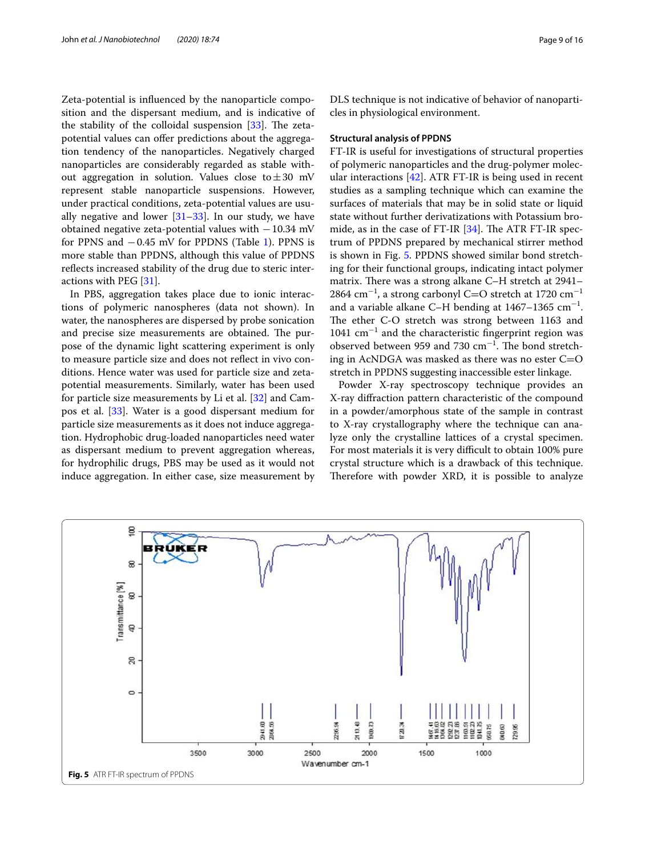Zeta-potential is influenced by the nanoparticle composition and the dispersant medium, and is indicative of the stability of the colloidal suspension [\[33](#page-15-8)]. The zetapotential values can offer predictions about the aggregation tendency of the nanoparticles. Negatively charged nanoparticles are considerably regarded as stable without aggregation in solution. Values close to  $\pm 30$  mV represent stable nanoparticle suspensions. However, under practical conditions, zeta-potential values are usually negative and lower  $[31-33]$  $[31-33]$ . In our study, we have obtained negative zeta-potential values with − 10.34 mV for PPNS and − 0.45 mV for PPDNS (Table [1](#page-6-0)). PPNS is more stable than PPDNS, although this value of PPDNS reflects increased stability of the drug due to steric interactions with PEG [[31\]](#page-14-22).

In PBS, aggregation takes place due to ionic interactions of polymeric nanospheres (data not shown). In water, the nanospheres are dispersed by probe sonication and precise size measurements are obtained. The purpose of the dynamic light scattering experiment is only to measure particle size and does not reflect in vivo conditions. Hence water was used for particle size and zetapotential measurements. Similarly, water has been used for particle size measurements by Li et al. [[32\]](#page-14-23) and Campos et al. [\[33\]](#page-15-8). Water is a good dispersant medium for particle size measurements as it does not induce aggregation. Hydrophobic drug-loaded nanoparticles need water as dispersant medium to prevent aggregation whereas, for hydrophilic drugs, PBS may be used as it would not induce aggregation. In either case, size measurement by DLS technique is not indicative of behavior of nanoparticles in physiological environment.

#### **Structural analysis of PPDNS**

FT-IR is useful for investigations of structural properties of polymeric nanoparticles and the drug-polymer molecular interactions [\[42](#page-15-9)]. ATR FT-IR is being used in recent studies as a sampling technique which can examine the surfaces of materials that may be in solid state or liquid state without further derivatizations with Potassium bromide, as in the case of FT-IR [\[34\]](#page-15-0). The ATR FT-IR spectrum of PPDNS prepared by mechanical stirrer method is shown in Fig. [5.](#page-8-0) PPDNS showed similar bond stretching for their functional groups, indicating intact polymer matrix. There was a strong alkane C–H stretch at 2941– 2864 cm<sup>−</sup><sup>1</sup> , a strong carbonyl C=O stretch at 1720 cm<sup>−</sup><sup>1</sup> and a variable alkane C-H bending at  $1467-1365$  cm<sup>-1</sup>. The ether C-O stretch was strong between 1163 and 1041 cm<sup>−</sup><sup>1</sup> and the characteristic fingerprint region was observed between 959 and 730 cm<sup>−</sup><sup>1</sup> . The bond stretching in AcNDGA was masked as there was no ester  $C=O$ stretch in PPDNS suggesting inaccessible ester linkage.

Powder X-ray spectroscopy technique provides an X-ray diffraction pattern characteristic of the compound in a powder/amorphous state of the sample in contrast to X-ray crystallography where the technique can analyze only the crystalline lattices of a crystal specimen. For most materials it is very difficult to obtain 100% pure crystal structure which is a drawback of this technique. Therefore with powder XRD, it is possible to analyze

<span id="page-8-0"></span>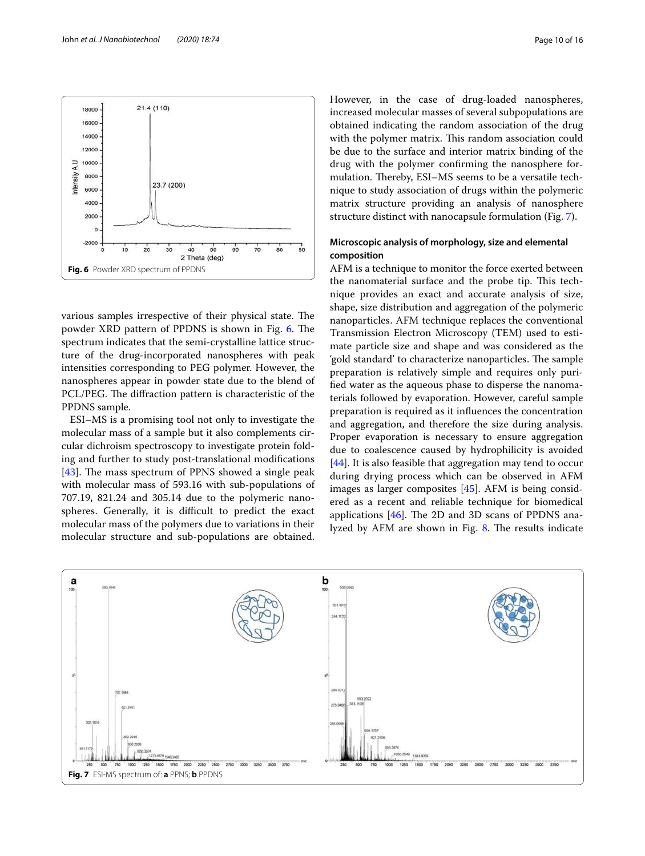

<span id="page-9-0"></span>various samples irrespective of their physical state. The powder XRD pattern of PPDNS is shown in Fig. [6](#page-9-0). The spectrum indicates that the semi-crystalline lattice structure of the drug-incorporated nanospheres with peak intensities corresponding to PEG polymer. However, the nanospheres appear in powder state due to the blend of PCL/PEG. The diffraction pattern is characteristic of the PPDNS sample.

ESI–MS is a promising tool not only to investigate the molecular mass of a sample but it also complements circular dichroism spectroscopy to investigate protein folding and further to study post-translational modifications [[43\]](#page-15-10). The mass spectrum of PPNS showed a single peak with molecular mass of 593.16 with sub-populations of 707.19, 821.24 and 305.14 due to the polymeric nanospheres. Generally, it is difficult to predict the exact molecular mass of the polymers due to variations in their molecular structure and sub-populations are obtained. However, in the case of drug-loaded nanospheres, increased molecular masses of several subpopulations are obtained indicating the random association of the drug with the polymer matrix. This random association could be due to the surface and interior matrix binding of the drug with the polymer confirming the nanosphere formulation. Thereby, ESI–MS seems to be a versatile technique to study association of drugs within the polymeric matrix structure providing an analysis of nanosphere structure distinct with nanocapsule formulation (Fig. [7\)](#page-9-1).

## **Microscopic analysis of morphology, size and elemental composition**

AFM is a technique to monitor the force exerted between the nanomaterial surface and the probe tip. This technique provides an exact and accurate analysis of size, shape, size distribution and aggregation of the polymeric nanoparticles. AFM technique replaces the conventional Transmission Electron Microscopy (TEM) used to estimate particle size and shape and was considered as the 'gold standard' to characterize nanoparticles. The sample preparation is relatively simple and requires only purified water as the aqueous phase to disperse the nanomaterials followed by evaporation. However, careful sample preparation is required as it influences the concentration and aggregation, and therefore the size during analysis. Proper evaporation is necessary to ensure aggregation due to coalescence caused by hydrophilicity is avoided [[44\]](#page-15-11). It is also feasible that aggregation may tend to occur during drying process which can be observed in AFM images as larger composites [[45](#page-15-12)]. AFM is being considered as a recent and reliable technique for biomedical applications  $[46]$  $[46]$ . The 2D and 3D scans of PPDNS analyzed by AFM are shown in Fig. [8](#page-10-0). The results indicate

<span id="page-9-1"></span>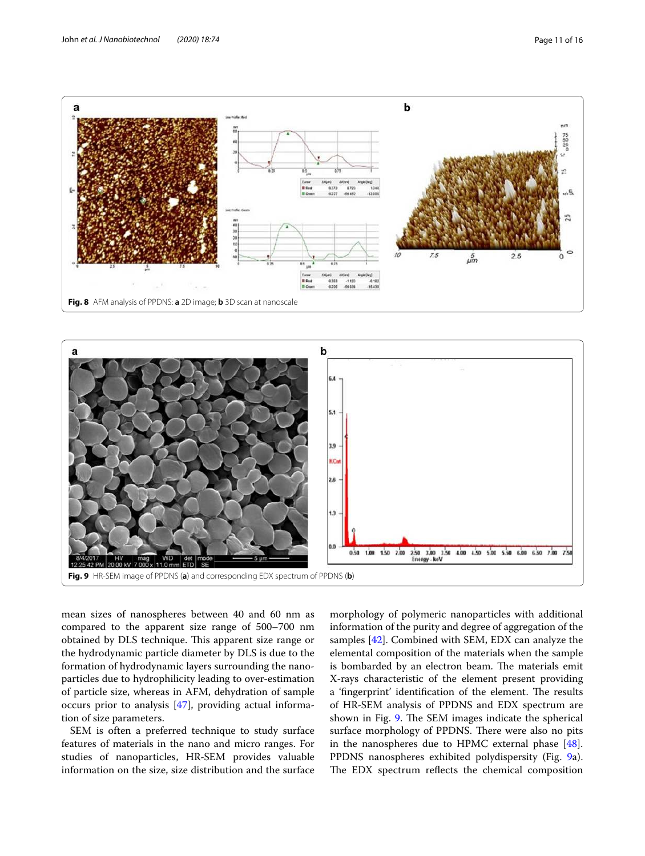



<span id="page-10-0"></span>

<span id="page-10-1"></span>mean sizes of nanospheres between 40 and 60 nm as compared to the apparent size range of 500–700 nm obtained by DLS technique. This apparent size range or the hydrodynamic particle diameter by DLS is due to the formation of hydrodynamic layers surrounding the nanoparticles due to hydrophilicity leading to over-estimation of particle size, whereas in AFM, dehydration of sample occurs prior to analysis [\[47](#page-15-14)], providing actual information of size parameters.

SEM is often a preferred technique to study surface features of materials in the nano and micro ranges. For studies of nanoparticles, HR-SEM provides valuable information on the size, size distribution and the surface morphology of polymeric nanoparticles with additional information of the purity and degree of aggregation of the samples [\[42](#page-15-9)]. Combined with SEM, EDX can analyze the elemental composition of the materials when the sample is bombarded by an electron beam. The materials emit X-rays characteristic of the element present providing a 'fingerprint' identification of the element. The results of HR-SEM analysis of PPDNS and EDX spectrum are shown in Fig. [9.](#page-10-1) The SEM images indicate the spherical surface morphology of PPDNS. There were also no pits in the nanospheres due to HPMC external phase [\[48](#page-15-15)]. PPDNS nanospheres exhibited polydispersity (Fig. [9a](#page-10-1)). The EDX spectrum reflects the chemical composition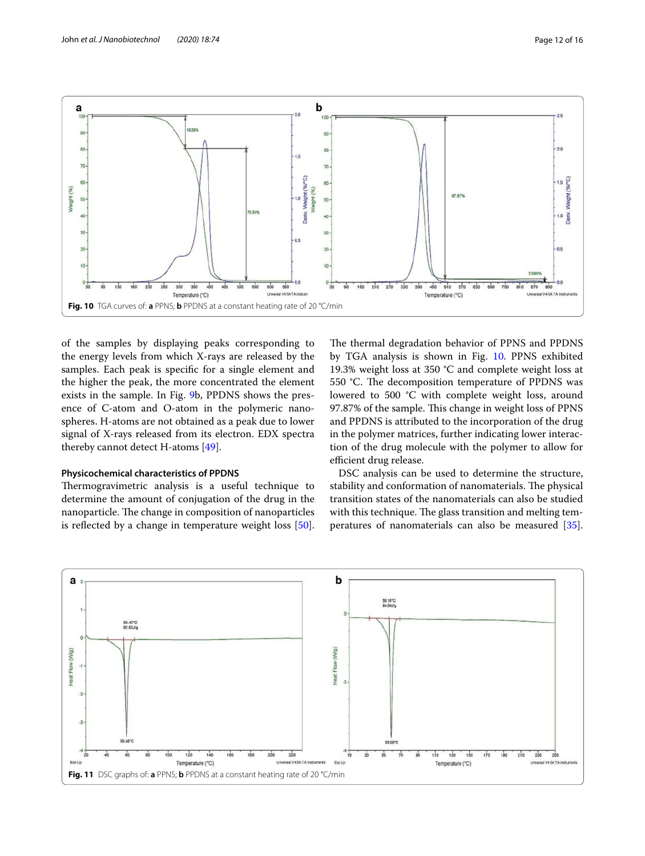

<span id="page-11-0"></span>of the samples by displaying peaks corresponding to the energy levels from which X-rays are released by the samples. Each peak is specific for a single element and the higher the peak, the more concentrated the element exists in the sample. In Fig. [9b](#page-10-1), PPDNS shows the presence of C-atom and O-atom in the polymeric nanospheres. H-atoms are not obtained as a peak due to lower signal of X-rays released from its electron. EDX spectra thereby cannot detect H-atoms [\[49](#page-15-16)].

#### **Physicochemical characteristics of PPDNS**

Thermogravimetric analysis is a useful technique to determine the amount of conjugation of the drug in the nanoparticle. The change in composition of nanoparticles is reflected by a change in temperature weight loss [\[50](#page-15-17)]. The thermal degradation behavior of PPNS and PPDNS by TGA analysis is shown in Fig. [10](#page-11-0). PPNS exhibited 19.3% weight loss at 350 °C and complete weight loss at 550 °C. The decomposition temperature of PPDNS was lowered to 500 °C with complete weight loss, around 97.87% of the sample. This change in weight loss of PPNS and PPDNS is attributed to the incorporation of the drug in the polymer matrices, further indicating lower interaction of the drug molecule with the polymer to allow for efficient drug release.

DSC analysis can be used to determine the structure, stability and conformation of nanomaterials. The physical transition states of the nanomaterials can also be studied with this technique. The glass transition and melting temperatures of nanomaterials can also be measured [\[35](#page-15-1)].

<span id="page-11-1"></span>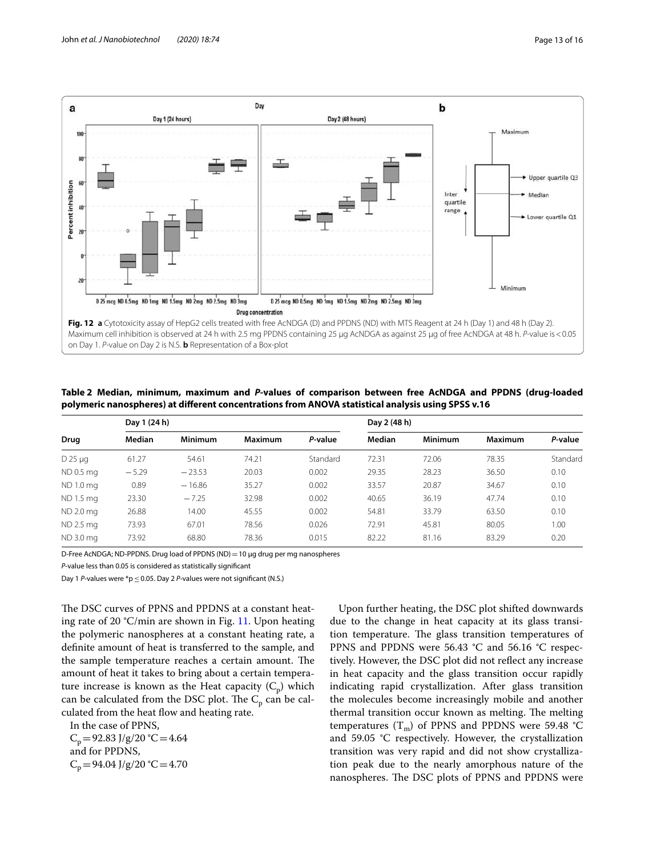

<span id="page-12-1"></span><span id="page-12-0"></span>Table 2 Median, minimum, maximum and P-values of comparison between free AcNDGA and PPDNS (drug-loaded **polymeric nanospheres) at different concentrations from ANOVA statistical analysis using SPSS v.16**

|                | Day 1 (24 h) |                |                |          | Day 2 (48 h) |                |         |          |
|----------------|--------------|----------------|----------------|----------|--------------|----------------|---------|----------|
| Drug           | Median       | <b>Minimum</b> | <b>Maximum</b> | P-value  | Median       | <b>Minimum</b> | Maximum | P-value  |
| $D$ 25 $\mu$ g | 61.27        | 54.61          | 74.21          | Standard | 72.31        | 72.06          | 78.35   | Standard |
| ND 0.5 mg      | $-5.29$      | $-23.53$       | 20.03          | 0.002    | 29.35        | 28.23          | 36.50   | 0.10     |
| ND 1.0 mg      | 0.89         | $-16.86$       | 35.27          | 0.002    | 33.57        | 20.87          | 34.67   | 0.10     |
| ND 1.5 mg      | 23.30        | $-7.25$        | 32.98          | 0.002    | 40.65        | 36.19          | 47.74   | 0.10     |
| ND 2.0 mg      | 26.88        | 14.00          | 45.55          | 0.002    | 54.81        | 33.79          | 63.50   | 0.10     |
| ND 2.5 mg      | 73.93        | 67.01          | 78.56          | 0.026    | 72.91        | 45.81          | 80.05   | 1.00     |
| ND 3.0 mg      | 73.92        | 68.80          | 78.36          | 0.015    | 82.22        | 81.16          | 83.29   | 0.20     |

D-Free AcNDGA; ND-PPDNS. Drug load of PPDNS (ND) = 10  $\mu$ g drug per mg nanospheres

P-value less than 0.05 is considered as statistically significant

Day 1 P-values were  $p \leq 0.05$ . Day 2 P-values were not significant (N.S.)

The DSC curves of PPNS and PPDNS at a constant heating rate of 20 °C/min are shown in Fig. [11](#page-11-1). Upon heating the polymeric nanospheres at a constant heating rate, a definite amount of heat is transferred to the sample, and the sample temperature reaches a certain amount. The amount of heat it takes to bring about a certain temperature increase is known as the Heat capacity  $(C_{\mathrm{p}})$  which can be calculated from the DSC plot. The  $\rm C_p$  can be calculated from the heat flow and heating rate.

In the case of PPNS,

 $C_p = 92.83$  J/g/20 °C = 4.64 and for PPDNS,  $C_p = 94.04$  J/g/20 °C = 4.70

Upon further heating, the DSC plot shifted downwards due to the change in heat capacity at its glass transition temperature. The glass transition temperatures of PPNS and PPDNS were 56.43 °C and 56.16 °C respectively. However, the DSC plot did not reflect any increase in heat capacity and the glass transition occur rapidly indicating rapid crystallization. After glass transition the molecules become increasingly mobile and another thermal transition occur known as melting. The melting temperatures  $(T_m)$  of PPNS and PPDNS were 59.48 °C and 59.05 °C respectively. However, the crystallization transition was very rapid and did not show crystallization peak due to the nearly amorphous nature of the nanospheres. The DSC plots of PPNS and PPDNS were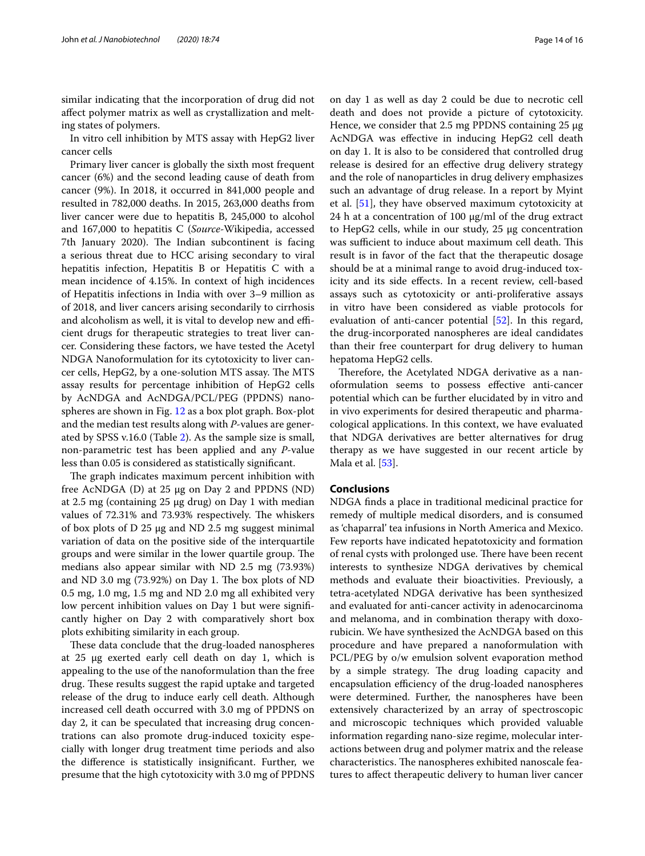similar indicating that the incorporation of drug did not affect polymer matrix as well as crystallization and melting states of polymers.

In vitro cell inhibition by MTS assay with HepG2 liver cancer cells

Primary liver cancer is globally the sixth most frequent cancer (6%) and the second leading cause of death from cancer (9%). In 2018, it occurred in 841,000 people and resulted in 782,000 deaths. In 2015, 263,000 deaths from liver cancer were due to hepatitis B, 245,000 to alcohol and 167,000 to hepatitis C (Source-Wikipedia, accessed 7th January 2020). The Indian subcontinent is facing a serious threat due to HCC arising secondary to viral hepatitis infection, Hepatitis B or Hepatitis C with a mean incidence of 4.15%. In context of high incidences of Hepatitis infections in India with over 3–9 million as of 2018, and liver cancers arising secondarily to cirrhosis and alcoholism as well, it is vital to develop new and efficient drugs for therapeutic strategies to treat liver cancer. Considering these factors, we have tested the Acetyl NDGA Nanoformulation for its cytotoxicity to liver cancer cells, HepG2, by a one-solution MTS assay. The MTS assay results for percentage inhibition of HepG2 cells by AcNDGA and AcNDGA/PCL/PEG (PPDNS) nanospheres are shown in Fig. [12](#page-12-0) as a box plot graph. Box-plot and the median test results along with P-values are generated by SPSS v.16.0 (Table [2](#page-12-1)). As the sample size is small, non-parametric test has been applied and any P-value less than 0.05 is considered as statistically significant.

The graph indicates maximum percent inhibition with free AcNDGA (D) at 25 µg on Day 2 and PPDNS (ND) at 2.5 mg (containing 25 µg drug) on Day 1 with median values of 72.31% and 73.93% respectively. The whiskers of box plots of D 25 µg and ND 2.5 mg suggest minimal variation of data on the positive side of the interquartile groups and were similar in the lower quartile group. The medians also appear similar with ND 2.5 mg (73.93%) and ND 3.0 mg (73.92%) on Day 1. The box plots of ND 0.5 mg, 1.0 mg, 1.5 mg and ND 2.0 mg all exhibited very low percent inhibition values on Day 1 but were significantly higher on Day 2 with comparatively short box plots exhibiting similarity in each group.

These data conclude that the drug-loaded nanospheres at 25 µg exerted early cell death on day 1, which is appealing to the use of the nanoformulation than the free drug. These results suggest the rapid uptake and targeted release of the drug to induce early cell death. Although increased cell death occurred with 3.0 mg of PPDNS on day 2, it can be speculated that increasing drug concentrations can also promote drug-induced toxicity especially with longer drug treatment time periods and also the difference is statistically insignificant. Further, we presume that the high cytotoxicity with 3.0 mg of PPDNS on day 1 as well as day 2 could be due to necrotic cell death and does not provide a picture of cytotoxicity. Hence, we consider that 2.5 mg PPDNS containing 25 µg AcNDGA was effective in inducing HepG2 cell death on day 1. It is also to be considered that controlled drug release is desired for an effective drug delivery strategy and the role of nanoparticles in drug delivery emphasizes such an advantage of drug release. In a report by Myint et al. [[51\]](#page-15-18), they have observed maximum cytotoxicity at 24 h at a concentration of 100 µg/ml of the drug extract to HepG2 cells, while in our study, 25 µg concentration was sufficient to induce about maximum cell death. This result is in favor of the fact that the therapeutic dosage should be at a minimal range to avoid drug-induced toxicity and its side effects. In a recent review, cell-based assays such as cytotoxicity or anti-proliferative assays in vitro have been considered as viable protocols for evaluation of anti-cancer potential [\[52](#page-15-19)]. In this regard, the drug-incorporated nanospheres are ideal candidates than their free counterpart for drug delivery to human hepatoma HepG2 cells.

Therefore, the Acetylated NDGA derivative as a nanoformulation seems to possess effective anti-cancer potential which can be further elucidated by in vitro and in vivo experiments for desired therapeutic and pharmacological applications. In this context, we have evaluated that NDGA derivatives are better alternatives for drug therapy as we have suggested in our recent article by Mala et al. [[53](#page-15-20)].

#### **Conclusions**

NDGA finds a place in traditional medicinal practice for remedy of multiple medical disorders, and is consumed as 'chaparral' tea infusions in North America and Mexico. Few reports have indicated hepatotoxicity and formation of renal cysts with prolonged use. There have been recent interests to synthesize NDGA derivatives by chemical methods and evaluate their bioactivities. Previously, a tetra-acetylated NDGA derivative has been synthesized and evaluated for anti-cancer activity in adenocarcinoma and melanoma, and in combination therapy with doxorubicin. We have synthesized the AcNDGA based on this procedure and have prepared a nanoformulation with PCL/PEG by o/w emulsion solvent evaporation method by a simple strategy. The drug loading capacity and encapsulation efficiency of the drug-loaded nanospheres were determined. Further, the nanospheres have been extensively characterized by an array of spectroscopic and microscopic techniques which provided valuable information regarding nano-size regime, molecular interactions between drug and polymer matrix and the release characteristics. The nanospheres exhibited nanoscale features to affect therapeutic delivery to human liver cancer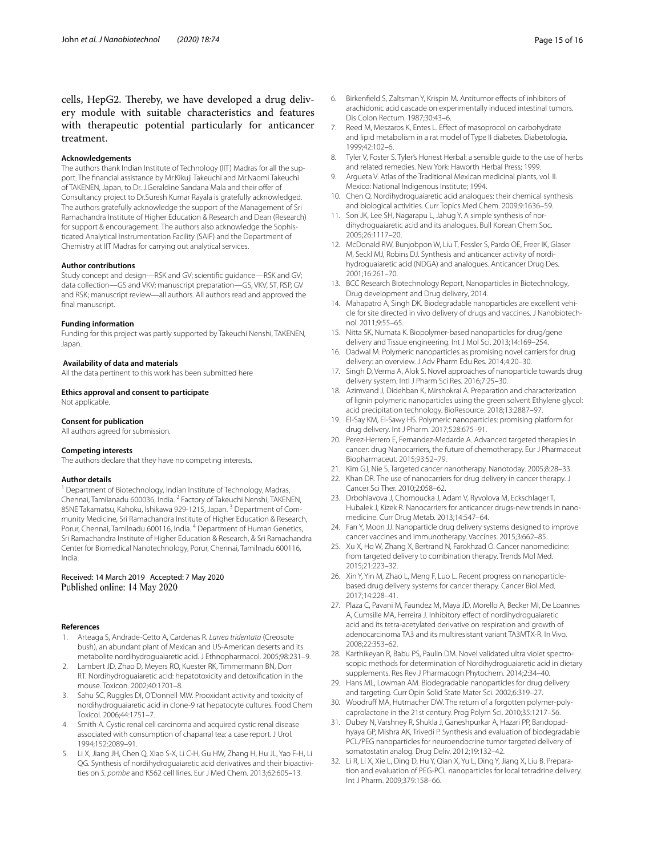cells, HepG2. Thereby, we have developed a drug delivery module with suitable characteristics and features with therapeutic potential particularly for anticancer treatment.

#### **Acknowledgements**

The authors thank Indian Institute of Technology (IIT) Madras for all the support. The financial assistance by Mr.Kikuji Takeuchi and Mr.Naomi Takeuchi of TAKENEN, Japan, to Dr. J.Geraldine Sandana Mala and their offer of Consultancy project to Dr.Suresh Kumar Rayala is gratefully acknowledged. The authors gratefully acknowledge the support of the Management of Sri Ramachandra Institute of Higher Education & Research and Dean (Research) for support & encouragement. The authors also acknowledge the Sophisticated Analytical Instrumentation Facility (SAIF) and the Department of Chemistry at IIT Madras for carrying out analytical services.

#### **Author contributions**

Study concept and design—RSK and GV; scientific guidance—RSK and GV; data collection—GS and VKV; manuscript preparation—GS, VKV, ST, RSP, GV and RSK; manuscript review—all authors. All authors read and approved the final manuscript.

#### **Funding information**

Funding for this project was partly supported by Takeuchi Nenshi, TAKENEN, Japan.

#### **Availability of data and materials**

All the data pertinent to this work has been submitted here

#### **Ethics approval and consent to participate**

Not applicable.

#### **Consent for publication**

All authors agreed for submission.

#### **Competing interests**

The authors declare that they have no competing interests.

#### **Author details**

<sup>1</sup> Department of Biotechnology, Indian Institute of Technology, Madras, Chennai, Tamilanadu 600036, India. <sup>2</sup> Factory of Takeuchi Nenshi, TAKENEN, 85NE Takamatsu, Kahoku, Ishikawa 929-1215, Japan. <sup>3</sup> Department of Community Medicine, Sri Ramachandra Institute of Higher Education & Research, Porur, Chennai, Tamilnadu 600116, India. <sup>4</sup> Department of Human Genetics, Sri Ramachandra Institute of Higher Education & Research, & Sri Ramachandra Center for Biomedical Nanotechnology, Porur, Chennai, Tamilnadu 600116, India.

#### Received: 14 March 2019 Accepted: 7 May 2020 Published online: 14 May 2020

#### **References**

- <span id="page-14-0"></span>Arteaga S, Andrade-Cetto A, Cardenas R. Larrea tridentata (Creosote bush), an abundant plant of Mexican and US-American deserts and its metabolite nordihydroguaiaretic acid. J Ethnopharmacol. 2005;98:231–9.
- 2. Lambert JD, Zhao D, Meyers RO, Kuester RK, Timmermann BN, Dorr RT. Nordihydroguaiaretic acid: hepatotoxicity and detoxification in the mouse. Toxicon. 2002;40:1701–8.
- <span id="page-14-1"></span> 3. Sahu SC, Ruggles DI, O'Donnell MW. Prooxidant activity and toxicity of nordihydroguaiaretic acid in clone-9 rat hepatocyte cultures. Food Chem Toxicol. 2006;44:1751–7.
- <span id="page-14-2"></span> 4. Smith A. Cystic renal cell carcinoma and acquired cystic renal disease associated with consumption of chaparral tea: a case report. J Urol. 1994;152:2089–91.
- <span id="page-14-3"></span> 5. Li X, Jiang JH, Chen Q, Xiao S-X, Li C-H, Gu HW, Zhang H, Hu JL, Yao F-H, Li QG. Synthesis of nordihydroguaiaretic acid derivatives and their bioactivities on S. pombe and K562 cell lines. Eur J Med Chem. 2013;62:605–13.
- <span id="page-14-4"></span> 6. Birkenfield S, Zaltsman Y, Krispin M. Antitumor effects of inhibitors of arachidonic acid cascade on experimentally induced intestinal tumors. Dis Colon Rectum. 1987;30:43–6.
- <span id="page-14-5"></span> 7. Reed M, Meszaros K, Entes L. Effect of masoprocol on carbohydrate and lipid metabolism in a rat model of Type II diabetes. Diabetologia. 1999;42:102–6.
- <span id="page-14-6"></span> 8. Tyler V, Foster S. Tyler's Honest Herbal: a sensible guide to the use of herbs and related remedies. New York: Haworth Herbal Press; 1999.
- <span id="page-14-7"></span> 9. Argueta V. Atlas of the Traditional Mexican medicinal plants, vol. II. Mexico: National Indigenous Institute; 1994.
- <span id="page-14-8"></span> 10. Chen Q. Nordihydroguaiaretic acid analogues: their chemical synthesis and biological activities. Curr Topics Med Chem. 2009;9:1636–59.
- 11. Son JK, Lee SH, Nagarapu L, Jahug Y. A simple synthesis of nordihydroguaiaretic acid and its analogues. Bull Korean Chem Soc. 2005;26:1117–20.
- <span id="page-14-9"></span> 12. McDonald RW, Bunjobpon W, Liu T, Fessler S, Pardo OE, Freer IK, Glaser M, Seckl MJ, Robins DJ. Synthesis and anticancer activity of nordihydroguaiaretic acid (NDGA) and analogues. Anticancer Drug Des. 2001;16:261–70.
- <span id="page-14-10"></span> 13. BCC Research Biotechnology Report, Nanoparticles in Biotechnology, Drug development and Drug delivery, 2014.
- <span id="page-14-11"></span> 14. Mahapatro A, Singh DK. Biodegradable nanoparticles are excellent vehicle for site directed in vivo delivery of drugs and vaccines. J Nanobiotechnol. 2011;9:55–65.
- 15. Nitta SK, Numata K. Biopolymer-based nanoparticles for drug/gene delivery and Tissue engineering. Int J Mol Sci. 2013;14:169–254.
- <span id="page-14-24"></span> 16. Dadwal M. Polymeric nanoparticles as promising novel carriers for drug delivery: an overview. J Adv Pharm Edu Res. 2014;4:20–30.
- 17. Singh D, Verma A, Alok S. Novel approaches of nanoparticle towards drug delivery system. Intl J Pharm Sci Res. 2016;7:25–30.
- <span id="page-14-12"></span> 18. Azimvand J, Didehban K, Mirshokrai A. Preparation and characterization of lignin polymeric nanoparticles using the green solvent Ethylene glycol: acid precipitation technology. BioResource. 2018;13:2887–97.
- <span id="page-14-13"></span> 19. El-Say KM, El-Sawy HS. Polymeric nanoparticles: promising platform for drug delivery. Int J Pharm. 2017;528:675–91.
- <span id="page-14-14"></span> 20. Perez-Herrero E, Fernandez-Medarde A. Advanced targeted therapies in cancer: drug Nanocarriers, the future of chemotherapy. Eur J Pharmaceut Biopharmaceut. 2015;93:52–79.
- <span id="page-14-15"></span>21. Kim GJ, Nie S. Targeted cancer nanotherapy. Nanotoday. 2005;8:28–33.
- <span id="page-14-16"></span> 22. Khan DR. The use of nanocarriers for drug delivery in cancer therapy. J Cancer Sci Ther. 2010;2:058–62.
- 23. Drbohlavova J, Chomoucka J, Adam V, Ryvolova M, Eckschlager T, Hubalek J, Kizek R. Nanocarriers for anticancer drugs-new trends in nanomedicine. Curr Drug Metab. 2013;14:547–64.
- 24. Fan Y, Moon JJ. Nanoparticle drug delivery systems designed to improve cancer vaccines and immunotherapy. Vaccines. 2015;3:662–85.
- 25. Xu X, Ho W, Zhang X, Bertrand N, Farokhzad O. Cancer nanomedicine: from targeted delivery to combination therapy. Trends Mol Med. 2015;21:223–32.
- <span id="page-14-17"></span> 26. Xin Y, Yin M, Zhao L, Meng F, Luo L. Recent progress on nanoparticlebased drug delivery systems for cancer therapy. Cancer Biol Med. 2017;14:228–41.
- <span id="page-14-18"></span> 27. Plaza C, Pavani M, Faundez M, Maya JD, Morello A, Becker MI, De Loannes A, Cumsille MA, Ferreira J. Inhibitory effect of nordihydroguaiaretic acid and its tetra-acetylated derivative on respiration and growth of adenocarcinoma TA3 and its multiresistant variant TA3MTX-R. In Vivo. 2008;22:353–62.
- <span id="page-14-19"></span> 28. Karthikeyan R, Babu PS, Paulin DM. Novel validated ultra violet spectroscopic methods for determination of Nordihydroguaiaretic acid in dietary supplements. Res Rev J Pharmacogn Phytochem. 2014;2:34–40.
- <span id="page-14-20"></span> 29. Hans ML, Lowman AM. Biodegradable nanoparticles for drug delivery and targeting. Curr Opin Solid State Mater Sci. 2002;6:319–27.
- <span id="page-14-21"></span> 30. Woodruff MA, Hutmacher DW. The return of a forgotten polymer-polycaprolactone in the 21st century. Prog Polym Sci. 2010;35:1217–56.
- <span id="page-14-22"></span> 31. Dubey N, Varshney R, Shukla J, Ganeshpurkar A, Hazari PP, Bandopadhyaya GP, Mishra AK, Trivedi P. Synthesis and evaluation of biodegradable PCL/PEG nanoparticles for neuroendocrine tumor targeted delivery of somatostatin analog. Drug Deliv. 2012;19:132–42.
- <span id="page-14-23"></span> 32. Li R, Li X, Xie L, Ding D, Hu Y, Qian X, Yu L, Ding Y, Jiang X, Liu B. Preparation and evaluation of PEG-PCL nanoparticles for local tetradrine delivery. Int J Pharm. 2009;379:158–66.